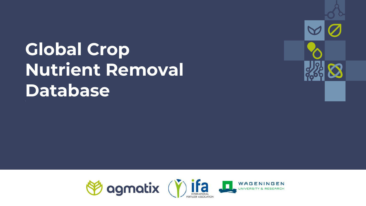# **Global Crop Nutrient Removal Database**



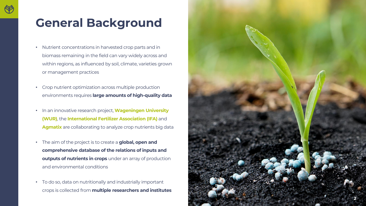### **General Background**

- Nutrient concentrations in harvested crop parts and in biomass remaining in the field can vary widely across and within regions, as influenced by soil, climate, varieties grown or management practices
- Crop nutrient optimization across multiple production environments requires **large amounts of high -quality data**
- In an innovative research project, **Wageningen University (WUR)** , the **International Fertilizer Association (IFA)** and **Agmatix** are collaborating to analyze crop nutrients big data
- The aim of the project is to create a **global, open and comprehensive database of the relations of inputs and outputs of nutrients in crops** under an array of production and environmental conditions
- To do so, data on nutritionally and industrially important crops is collected from **multiple researchers and institutes**

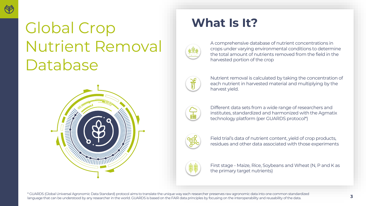

## Global Crop Nutrient Removal Database



## **What Is It?**



A comprehensive database of nutrient concentrations in crops under varying environmental conditions to determine the total amount of nutrients removed from the field in the harvested portion of the crop



Nutrient removal is calculated by taking the concentration of each nutrient in harvested material and multiplying by the harvest yield.



Different data sets from a wide range of researchers and institutes, standardized and harmonized with the Agmatix technology platform (per GUARDS protocol\*)



Field trial's data of nutrient content, yield of crop products, residues and other data associated with those experiments



First stage - Maize, Rice, Soybeans and Wheat (N, P and K as the primary target nutrients)

\* GUARDS (Global Universal Agronomic Data Standard) protocol aims to translate the unique way each researcher preserves raw agronomic data into one common standardized language that can be understood by any researcher in the world. GUARDS is based on the FAIR data principles by focusing on the interoperability and reusability of the data.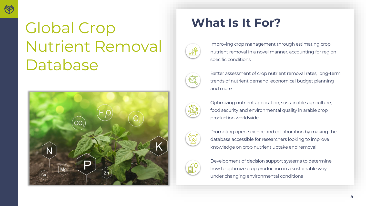

## **What Is It For?** Global Crop Nutrient Removal Database





Improving crop management through estimating crop nutrient removal in a novel manner, accounting for region specific conditions



Better assessment of crop nutrient removal rates, long-term trends of nutrient demand, economical budget planning and more

Optimizing nutrient application, sustainable agriculture, food security and environmental quality in arable crop production worldwide



Promoting open-science and collaboration by making the database accessible for researchers looking to improve knowledge on crop nutrient uptake and removal



Development of decision support systems to determine how to optimize crop production in a sustainable way under changing environmental conditions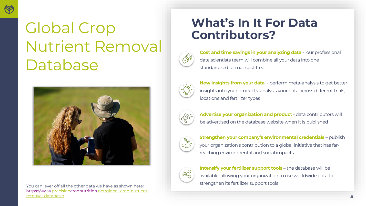

# Nutrient Removal Database



strengthen its fertilizer support tools You can lever off all the other data we have as shown here: [https://www.precisioncropnutrition.net/global-crop-nutrient](https://www.precisioncropnutrition.net/global-crop-nutrient-removal-database/)removal-database/

# **What's In It For Data** Global Crop **Contributors?**



**Cost and time savings in your analyzing data** - our professional data scientists team will combine all your data into one standardized format cost-free



**New insights from your data** - perform meta-analysis to get better insights into your products. analysis your data across different trials, locations and fertilizer types



**Advertise your organization and product** - data contributors will be advertised on the database website when it is published



**Strengthen your company's environmental credentials** – publish your organization's contribution to a global initiative that has farreaching environmental and social impacts



**Intensify your fertilizer support tools** – the database will be available, allowing your organization to use worldwide data to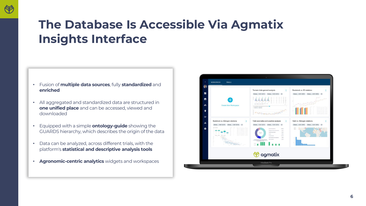## **The Database Is Accessible Via Agmatix Insights Interface**

- Fusion of **multiple data sources**, fully **standardized** and **enriched**
- All aggregated and standardized data are structured in **one unified place** and can be accessed, viewed and downloaded
- Equipped with a simple **ontology-guide** showing the GUARDS hierarchy, which describes the origin of the data
- Data can be analyzed, across different trials, with the platform's **statistical and descriptive analysis tools**
- **Agronomic-centric analytics** widgets and workspaces

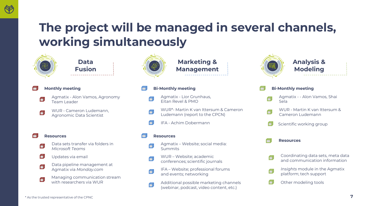

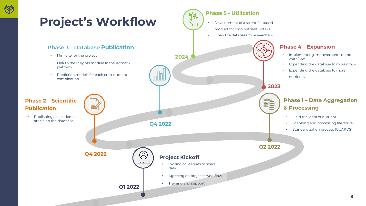